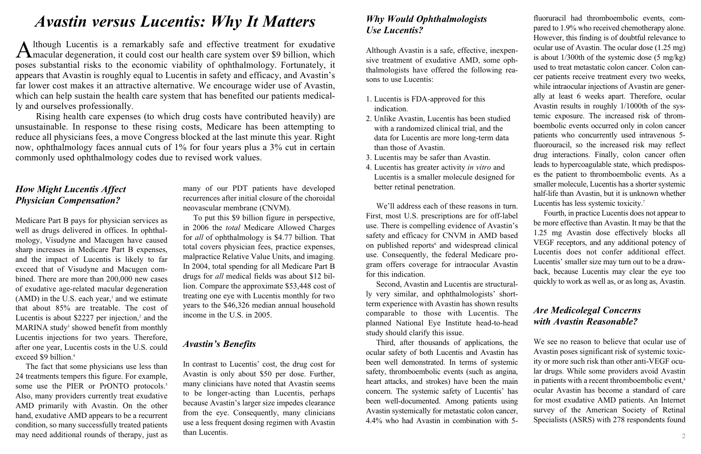# *How Might Lucentis Affect Physician Compensation?*

Medicare Part B pays for physician services as well as drugs delivered in offices. In ophthalmology, Visudyne and Macugen have caused sharp increases in Medicare Part B expenses, and the impact of Lucentis is likely to far exceed that of Visudyne and Macugen combined. There are more than 200,000 new cases of exudative age-related macular degeneration  $(AMD)$  in the U.S. each year, $<sup>1</sup>$  and we estimate</sup> that about 85% are treatable. The cost of Lucentis is about \$2227 per injection, $2$  and the MARINA study<sup>3</sup> showed benefit from monthly Lucentis injections for two years. Therefore, after one year, Lucentis costs in the U.S. could exceed \$9 billion.<sup>4</sup>

The fact that some physicians use less than 24 treatments tempers this figure. For example, some use the PIER or PrONTO protocols.<sup>5</sup> Also, many providers currently treat exudative AMD primarily with Avastin. On the other hand, exudative AMD appears to be a recurrent condition, so many successfully treated patients may need additional rounds of therapy, just as many of our PDT patients have developed recurrences after initial closure of the choroidal neovascular membrane (CNVM).

Although Lucentis is a remarkably safe and effective treatment for exudative macular degeneration, it could cost our health care system over \$9 billion, which poses substantial risks to the economic viability of ophthalmology. Fortunately, it appears that Avastin is roughly equal to Lucentis in safety and efficacy, and Avastin's far lower cost makes it an attractive alternative. We encourage wider use of Avastin, which can help sustain the health care system that has benefited our patients medically and ourselves professionally.

> To put this \$9 billion figure in perspective, in 2006 the *total* Medicare Allowed Charges for *all* of ophthalmology is \$4.77 billion. That total covers physician fees, practice expenses, malpractice Relative Value Units, and imaging. In 2004, total spending for all Medicare Part B drugs for *all* medical fields was about \$12 billion. Compare the approximate \$53,448 cost of treating one eye with Lucentis monthly for two years to the \$46,326 median annual household income in the U.S. in 2005.

#### *Avastin's Benefits*

In contrast to Lucentis' cost, the drug cost for Avastin is only about \$50 per dose. Further, many clinicians have noted that Avastin seems to be longer-acting than Lucentis, perhaps because Avastin's larger size impedes clearance from the eye. Consequently, many clinicians use a less frequent dosing regimen with Avastin than Lucentis.

# *Avastin versus Lucentis: Why It Matters*

fluoruracil had thromboembolic events, compared to 1.9% who received chemotherapy alone. However, this finding is of doubtful relevance to ocular use of Avastin. The ocular dose (1.25 mg) is about 1/300th of the systemic dose (5 mg/kg) used to treat metastatic colon cancer. Colon cancer patients receive treatment every two weeks, while intraocular injections of Avastin are generally at least 6 weeks apart. Therefore, ocular Avastin results in roughly 1/1000th of the systemic exposure. The increased risk of thromboembolic events occurred only in colon cancer patients who concurrently used intravenous 5 fluorouracil, so the increased risk may reflect drug interactions. Finally, colon cancer often leads to hypercoagulable state, which predisposes the patient to thromboembolic events. As a smaller molecule, Lucentis has a shorter systemic half-life than Avastin, but it is unknown whether Lucentis has less systemic toxicity.<sup>7</sup>

Rising health care expenses (to which drug costs have contributed heavily) are unsustainable. In response to these rising costs, Medicare has been attempting to reduce all physicians fees, a move Congress blocked at the last minute this year. Right now, ophthalmology faces annual cuts of 1% for four years plus a 3% cut in certain commonly used ophthalmology codes due to revised work values.

## *Why Would Ophthalmologists Use Lucentis?*

Although Avastin is a safe, effective, inexpensive treatment of exudative AMD, some ophthalmologists have offered the following reasons to use Lucentis:

- 1. Lucentis is FDA-approved for this indication.
- 2. Unlike Avastin, Lucentis has been studied with a randomized clinical trial, and the data for Lucentis are more long-term data than those of Avastin.
- 3. Lucentis may be safer than Avastin.
- 4. Lucentis has greater activity *in vitro* and Lucentis is a smaller molecule designed for better retinal penetration.

We'll address each of these reasons in turn. First, most U.S. prescriptions are for off-label use. There is compelling evidence of Avastin's safety and efficacy for CNVM in AMD based on published reports<sup>6</sup> and widespread clinical use. Consequently, the federal Medicare program offers coverage for intraocular Avastin for this indication.

Second, Avastin and Lucentis are structurally very similar, and ophthalmologists' shortterm experience with Avastin has shown results comparable to those with Lucentis. The planned National Eye Institute head-to-head study should clarify this issue.

Third, after thousands of applications, the ocular safety of both Lucentis and Avastin has been well demonstrated. In terms of systemic safety, thromboembolic events (such as angina, heart attacks, and strokes) have been the main concern. The systemic safety of Lucentis' has been well-documented. Among patients using Avastin systemically for metastatic colon cancer, 4.4% who had Avastin in combination with 5-

Fourth, in practice Lucentis does not appear to be more effective than Avastin. It may be that the 1.25 mg Avastin dose effectively blocks all VEGF receptors, and any additional potency of Lucentis does not confer additional effect. Lucentis' smaller size may turn out to be a drawback, because Lucentis may clear the eye too quickly to work as well as, or as long as, Avastin.

# *Are Medicolegal Concerns with Avastin Reasonable?*

We see no reason to believe that ocular use of Avastin poses significant risk of systemic toxicity or more such risk than other anti-VEGF ocular drugs. While some providers avoid Avastin in patients with a recent thromboembolic event,<sup>8</sup> ocular Avastin has become a standard of care for most exudative AMD patients. An Internet survey of the American Society of Retinal Specialists (ASRS) with 278 respondents found